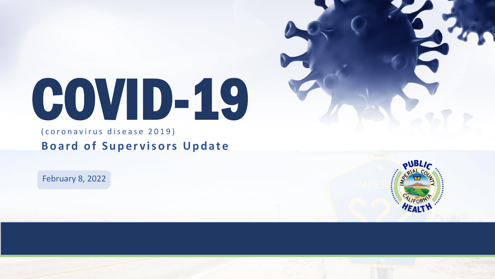# COVID-19

( coronavirus disease 2019) **Board of Supervisors Update** 

February 8, 2022

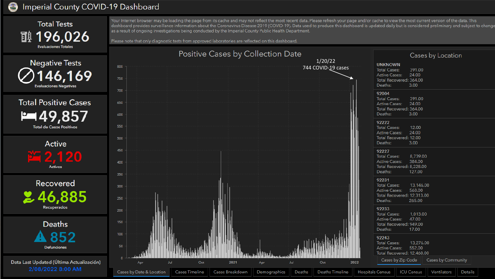#### Imperial County COVID-19 Dashboard 8

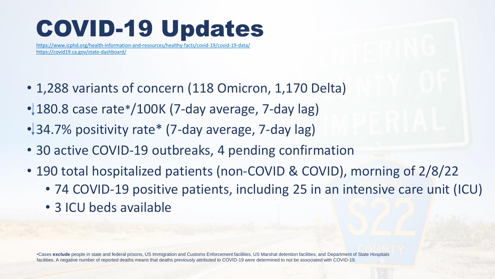### COVID-19 Updates

<https://www.icphd.org/health-information-and-resources/healthy-facts/covid-19/covid-19-data/> <https://covid19.ca.gov/state-dashboard/>

- 1,288 variants of concern (118 Omicron, 1,170 Delta)
- 180.8 case rate\*/100K (7-day average, 7-day lag)
- 34.7% positivity rate\* (7-day average, 7-day lag)
- 30 active COVID-19 outbreaks, 4 pending confirmation
- 190 total hospitalized patients (non-COVID & COVID), morning of 2/8/22
	- 74 COVID-19 positive patients, including 25 in an intensive care unit (ICU)
	- 3 ICU beds available

•Cases **exclude** people in state and federal prisons, US Immigration and Customs Enforcement facilities, US Marshal detention facilities, and Department of State Hospitals facilities. A negative number of reported deaths means that deaths previously attributed to COVID-19 were determined to not be associated with COVID-19.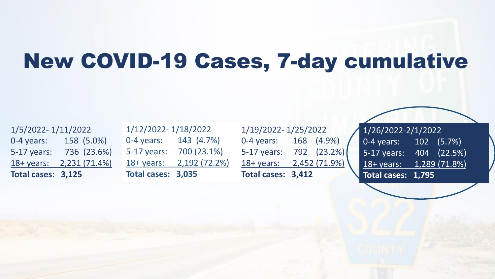#### New COVID-19 Cases, 7-day cumulative

1/5/2022- 1/11/2022 0-4 years: 158 (5.0%) 5-17 years: 736 (23.6%) 18+ years: 2,231 (71.4%) **Total cases: 3,125**

1/12/2022- 1/18/2022 0-4 years: 143 (4.7%) 5-17 years: 700 (23.1%) 18+ years: 2,192 (72.2%) **Total cases: 3,035**

1/19/2022- 1/25/2022 0-4 years: 168 (4.9%) 5-17 years: 792 (23.2%) 18+ years: 2,452 (71.9%) **Total cases: 3,412**

1/26/2022-2/1/2022 0-4 years: 102 (5.7%) 5-17 years: 404 (22.5%) 18+ years: 1,289 (71.8%) **Total cases: 1,795**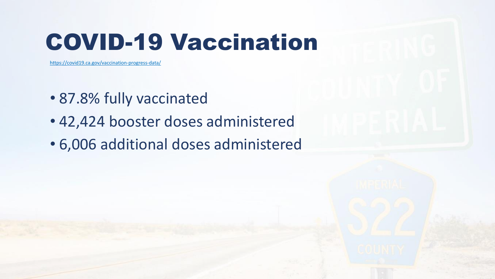### COVID-19 Vaccination

<https://covid19.ca.gov/vaccination-progress-data/>

- 87.8% fully vaccinated
- 42,424 booster doses administered
- 6,006 additional doses administered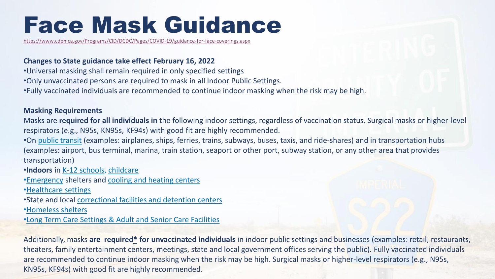### Face Mask Guidance

[https://www.cdph.ca.gov/Programs/CID/DCDC/Pages/COVID-19/guidance-for-face-coverings.aspx](https://gcc02.safelinks.protection.outlook.com/?url=https%3A%2F%2Fwww.cdph.ca.gov%2FPrograms%2FCID%2FDCDC%2FPages%2FCOVID-19%2Fguidance-for-face-coverings.aspx&data=04%7C01%7CJanetteAngulo%40co.imperial.ca.us%7Cfd87a32aad714974085e08d9ea9d456c%7C0fbc78d78fb84a93925d26fe36f4e204%7C0%7C0%7C637798783471941669%7CUnknown%7CTWFpbGZsb3d8eyJWIjoiMC4wLjAwMDAiLCJQIjoiV2luMzIiLCJBTiI6Ik1haWwiLCJXVCI6Mn0%3D%7C3000&sdata=8wDFLQBObxwHovohsVjzoWqfgtbbdMWsqWaS%2BVZqx%2BQ%3D&reserved=0)

#### **Changes to State guidance take effect February 16, 2022**

- •Universal masking shall remain required in only specified settings
- •Only unvaccinated persons are required to mask in all Indoor Public Settings.
- •Fully vaccinated individuals are recommended to continue indoor masking when the risk may be high.

#### **Masking Requirements**

Masks are **required for all individuals in** the following indoor settings, regardless of vaccination status. Surgical masks or higher-level respirators (e.g., N95s, KN95s, KF94s) with good fit are highly recommended.

•On [public transit](https://www.cdc.gov/coronavirus/2019-ncov/travelers/face-masks-public-transportation.html) (examples: airplanes, ships, ferries, trains, subways, buses, taxis, and ride-shares) and in transportation hubs (examples: airport, bus terminal, marina, train station, seaport or other port, subway station, or any other area that provides transportation)

- •**Indoors** in [K-12 schools,](https://www.cdc.gov/coronavirus/2019-ncov/community/schools-childcare/k-12-guidance.html) [childcare](https://www.cdc.gov/coronavirus/2019-ncov/community/schools-childcare/child-care-guidance.html)
- •[Emergency](https://www.cdc.gov/coronavirus/2019-ncov/php/eh-practitioners/general-population-disaster-shelters.html) shelters and [cooling and heating centers](https://www.cdc.gov/coronavirus/2019-ncov/php/cooling-center.html)
- •[Healthcare settings](https://www.cdc.gov/coronavirus/2019-ncov/hcp/infection-control-after-vaccination.html)
- •State and local [correctional facilities and detention centers](https://www.cdc.gov/coronavirus/2019-ncov/community/correction-detention/guidance-correctional-detention.html#infection-control)
- •[Homeless shelters](https://www.cdc.gov/coronavirus/2019-ncov/community/homeless-shelters/plan-prepare-respond.html)
- •Long Term Care Settings [& Adult and Senior Care Facilities](https://www.cdc.gov/coronavirus/2019-ncov/hcp/nursing-home-long-term-care.html)

Additionally, masks **are required[\\*](https://www.cdph.ca.gov/Programs/CID/DCDC/Pages/COVID-19/guidance-for-face-coverings-07-28-2021.aspx#asterisk) for unvaccinated individuals** in indoor public settings and businesses (examples: retail, restaurants, theaters, family entertainment centers, meetings, state and local government offices serving the public). Fully vaccinated individuals are recommended to continue indoor masking when the risk may be high. Surgical masks or higher-level respirators (e.g., N95s, KN95s, KF94s) with good fit are highly recommended.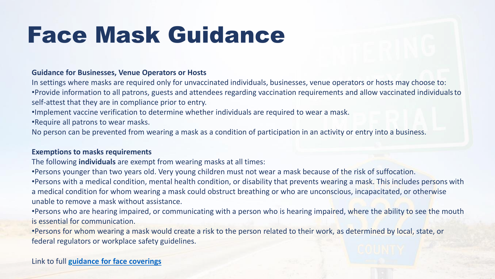### Face Mask Guidance

#### **Guidance for Businesses, Venue Operators or Hosts**

In settings where masks are required only for unvaccinated individuals, businesses, venue operators or hosts may choose to: •Provide information to all patrons, guests and attendees regarding vaccination requirements and allow vaccinated individuals to self-attest that they are in compliance prior to entry.

•Implement vaccine verification to determine whether individuals are required to wear a mask.

•Require all patrons to wear masks.

No person can be prevented from wearing a mask as a condition of participation in an activity or entry into a business.

#### **Exemptions to masks requirements**

The following **individuals** are exempt from wearing masks at all times:

•Persons younger than two years old. Very young children must not wear a mask because of the risk of suffocation. •Persons with a medical condition, mental health condition, or disability that prevents wearing a mask. This includes persons with a medical condition for whom wearing a mask could obstruct breathing or who are unconscious, incapacitated, or otherwise unable to remove a mask without assistance.

•Persons who are hearing impaired, or communicating with a person who is hearing impaired, where the ability to see the mouth is essential for communication.

•Persons for whom wearing a mask would create a risk to the person related to their work, as determined by local, state, or federal regulators or workplace safety guidelines.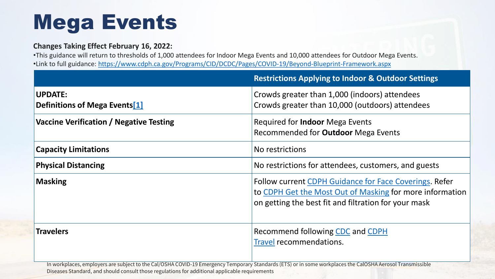### Mega Events

#### **Changes Taking Effect February 16, 2022:**

•This guidance will return to thresholds of 1,000 attendees for Indoor Mega Events and 10,000 attendees for Outdoor Mega Events. •Link to full guidance: <https://www.cdph.ca.gov/Programs/CID/DCDC/Pages/COVID-19/Beyond-Blueprint-Framework.aspx>

|                                                             | <b>Restrictions Applying to Indoor &amp; Outdoor Settings</b>                                                                                                                     |
|-------------------------------------------------------------|-----------------------------------------------------------------------------------------------------------------------------------------------------------------------------------|
| <b>UPDATE:</b><br>Definitions of Mega Events <sup>[1]</sup> | Crowds greater than 1,000 (indoors) attendees<br>Crowds greater than 10,000 (outdoors) attendees                                                                                  |
| Vaccine Verification / Negative Testing                     | Required for <b>Indoor</b> Mega Events<br>Recommended for <b>Outdoor</b> Mega Events                                                                                              |
| <b>Capacity Limitations</b>                                 | No restrictions                                                                                                                                                                   |
| <b>Physical Distancing</b>                                  | No restrictions for attendees, customers, and guests                                                                                                                              |
| <b>Masking</b>                                              | <b>Follow current CDPH Guidance for Face Coverings. Refer</b><br>to CDPH Get the Most Out of Masking for more information<br>on getting the best fit and filtration for your mask |
| <b>Travelers</b>                                            | Recommend following CDC and CDPH<br><b>Travel recommendations.</b>                                                                                                                |

In workplaces, employers are subject to the Cal/OSHA COVID-19 Emergency Temporary Standards (ETS) or in some workplaces the CalOSHA Aerosol Transmissible Diseases Standard, and should consult those regulations for additional applicable requirements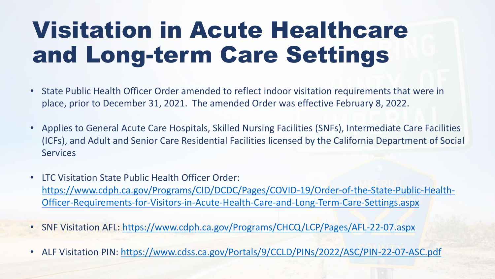### Visitation in Acute Healthcare and Long-term Care Settings

- State Public Health Officer Order amended to reflect indoor visitation requirements that were in place, prior to December 31, 2021. The amended Order was effective February 8, 2022.
- Applies to General Acute Care Hospitals, Skilled Nursing Facilities (SNFs), Intermediate Care Facilities (ICFs), and Adult and Senior Care Residential Facilities licensed by the California Department of Social **Services**
- LTC Visitation State Public Health Officer Order: [https://www.cdph.ca.gov/Programs/CID/DCDC/Pages/COVID-19/Order-of-the-State-Public-Health-](https://www.cdph.ca.gov/Programs/CID/DCDC/Pages/COVID-19/Order-of-the-State-Public-Health-Officer-Requirements-for-Visitors-in-Acute-Health-Care-and-Long-Term-Care-Settings.aspx)Officer-Requirements-for-Visitors-in-Acute-Health-Care-and-Long-Term-Care-Settings.aspx
- SNF Visitation AFL: [https://www.cdph.ca.gov/Programs/CHCQ/LCP/Pages/AFL-22-07.aspx](https://gcc02.safelinks.protection.outlook.com/?url=https%3A%2F%2Furldefense.com%2Fv3%2F__https%3A%2Fgcc02.safelinks.protection.outlook.com%2F%3Furl%3Dhttps*3A*2F*2Fwww.cdph.ca.gov*2FPrograms*2FCHCQ*2FLCP*2FPages*2FAFL-22-07.aspx%26data%3D04*7C01*7CMarko.Mijic*40chhs.ca.gov*7C53d48c6a9dc14901b2d208d9ea981ac9*7C95762673f4ed4bb6ac42439d725bf5e8*7C0*7C0*7C637798761284609403*7CUnknown*7CTWFpbGZsb3d8eyJWIjoiMC4wLjAwMDAiLCJQIjoiV2luMzIiLCJBTiI6Ik1haWwiLCJXVCI6Mn0*3D*7C3000%26sdata%3DCMOSpY3zxcfFWwHFMhT4abtB1qlh89Nd6QtD8FFm*2F48*3D%26reserved%3D0__%3BJSUlJSUlJSUlJSUlJSUlJSUlJSUlJQ!!AvL6XA!lO1Q8Uehi9LDRi-lJ8dqh09rnxKD_6Z9FiYFQtGGP_qNDJjK-BrPI6XJyUNoZKbxRsLlSEn2%24&data=04%7C01%7CJanetteAngulo%40co.imperial.ca.us%7Cfd87a32aad714974085e08d9ea9d456c%7C0fbc78d78fb84a93925d26fe36f4e204%7C0%7C0%7C637798783472097177%7CUnknown%7CTWFpbGZsb3d8eyJWIjoiMC4wLjAwMDAiLCJQIjoiV2luMzIiLCJBTiI6Ik1haWwiLCJXVCI6Mn0%3D%7C3000&sdata=SaMOSAOOjXHDuhvwHNjhD0N79I3r83pCr1vBChKoBbE%3D&reserved=0)
- ALF Visitation PIN: [https://www.cdss.ca.gov/Portals/9/CCLD/PINs/2022/ASC/PIN-22-07-ASC.pdf](https://gcc02.safelinks.protection.outlook.com/?url=https%3A%2F%2Furldefense.com%2Fv3%2F__https%3A%2Fgcc02.safelinks.protection.outlook.com%2F%3Furl%3Dhttps*3A*2F*2Fwww.cdss.ca.gov*2FPortals*2F9*2FCCLD*2FPINs*2F2022*2FASC*2FPIN-22-07-ASC.pdf%26data%3D04*7C01*7CMarko.Mijic*40chhs.ca.gov*7Ccc267e5e82724e687a1708d9ea9b107f*7C95762673f4ed4bb6ac42439d725bf5e8*7C0*7C0*7C637798773992522997*7CUnknown*7CTWFpbGZsb3d8eyJWIjoiMC4wLjAwMDAiLCJQIjoiV2luMzIiLCJBTiI6Ik1haWwiLCJXVCI6Mn0*3D*7C3000%26sdata%3DuqT*2BmIY3Qnslnp7FUJ67*2FWs8VWKgWHtXm2jWd6swSYA*3D%26reserved%3D0__%3BJSUlJSUlJSUlJSUlJSUlJSUlJSUlJSUlJQ!!AvL6XA!lO1Q8Uehi9LDRi-lJ8dqh09rnxKD_6Z9FiYFQtGGP_qNDJjK-BrPI6XJyUNoZKbxRh57vMD2%24&data=04%7C01%7CJanetteAngulo%40co.imperial.ca.us%7Cfd87a32aad714974085e08d9ea9d456c%7C0fbc78d78fb84a93925d26fe36f4e204%7C0%7C0%7C637798783472097177%7CUnknown%7CTWFpbGZsb3d8eyJWIjoiMC4wLjAwMDAiLCJQIjoiV2luMzIiLCJBTiI6Ik1haWwiLCJXVCI6Mn0%3D%7C3000&sdata=cVqY%2Fbz3GrWus8ARmh28UcKbwoMRg%2BlfzZBYQoBOz%2Bs%3D&reserved=0)